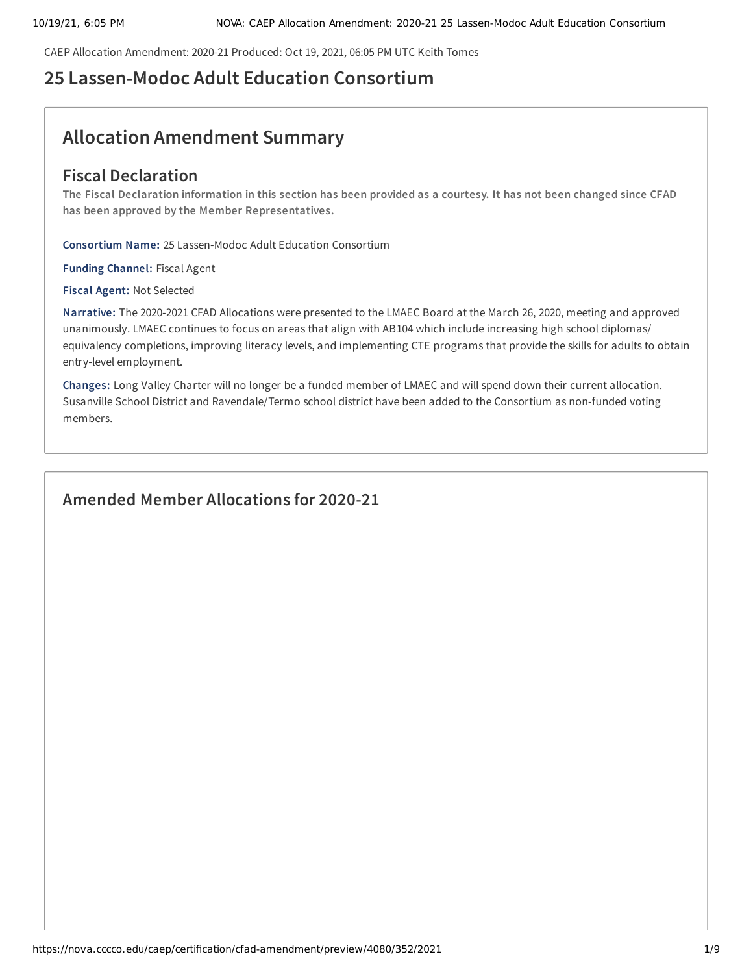CAEP Allocation Amendment: 2020-21 Produced: Oct 19, 2021, 06:05 PM UTC Keith Tomes

# **25 Lassen-Modoc Adult Education Consortium**

# **Allocation Amendment Summary**

# **Fiscal Declaration**

The Fiscal Declaration information in this section has been provided as a courtesy. It has not been changed since CFAD **has been approved by the Member Representatives.**

**Consortium Name:** 25 Lassen-Modoc Adult Education Consortium

**Funding Channel:** Fiscal Agent

**Fiscal Agent:** Not Selected

**Narrative:** The 2020-2021 CFAD Allocations were presented to the LMAEC Board at the March 26, 2020, meeting and approved unanimously. LMAEC continues to focus on areas that align with AB104 which include increasing high school diplomas/ equivalency completions, improving literacy levels, and implementing CTE programs that provide the skills for adults to obtain entry-level employment.

**Changes:** Long Valley Charter will no longer be a funded member of LMAEC and will spend down their current allocation. Susanville School District and Ravendale/Termo school district have been added to the Consortium as non-funded voting members.

# **Amended Member Allocations for 2020-21**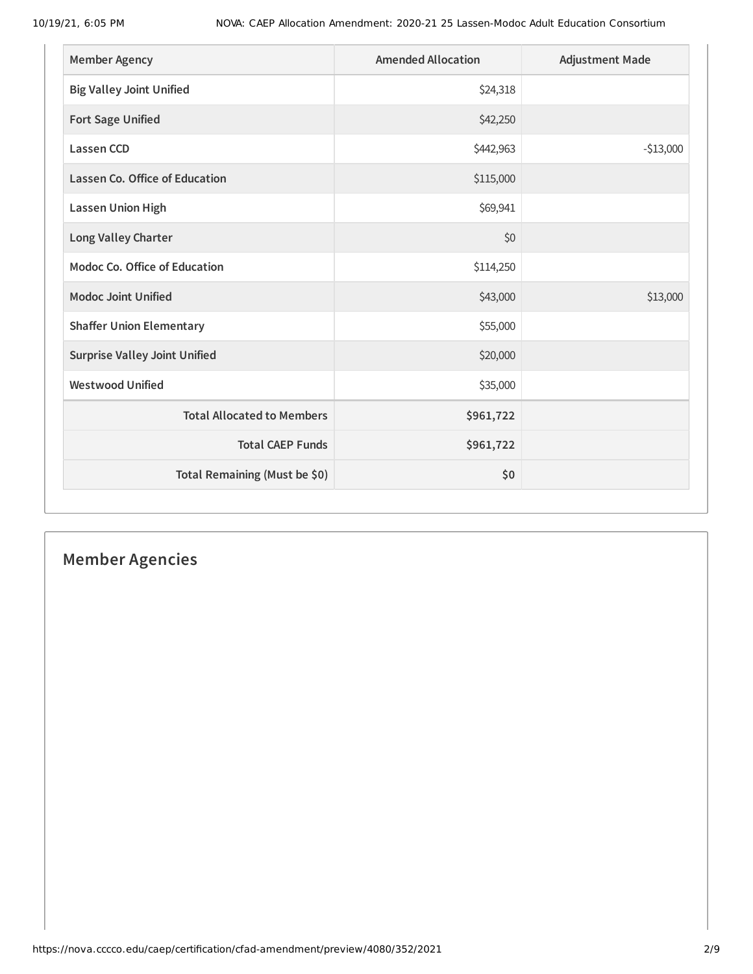| <b>Member Agency</b>                  | <b>Amended Allocation</b> | <b>Adjustment Made</b> |
|---------------------------------------|---------------------------|------------------------|
| <b>Big Valley Joint Unified</b>       | \$24,318                  |                        |
| <b>Fort Sage Unified</b>              | \$42,250                  |                        |
| <b>Lassen CCD</b>                     | \$442,963                 | $-$13,000$             |
| <b>Lassen Co. Office of Education</b> | \$115,000                 |                        |
| <b>Lassen Union High</b>              | \$69,941                  |                        |
| Long Valley Charter                   | \$0                       |                        |
| Modoc Co. Office of Education         | \$114,250                 |                        |
| <b>Modoc Joint Unified</b>            | \$43,000                  | \$13,000               |
| <b>Shaffer Union Elementary</b>       | \$55,000                  |                        |
| <b>Surprise Valley Joint Unified</b>  | \$20,000                  |                        |
| <b>Westwood Unified</b>               | \$35,000                  |                        |
| <b>Total Allocated to Members</b>     | \$961,722                 |                        |
| <b>Total CAEP Funds</b>               | \$961,722                 |                        |
| Total Remaining (Must be \$0)         | \$0                       |                        |

# **Member Agencies**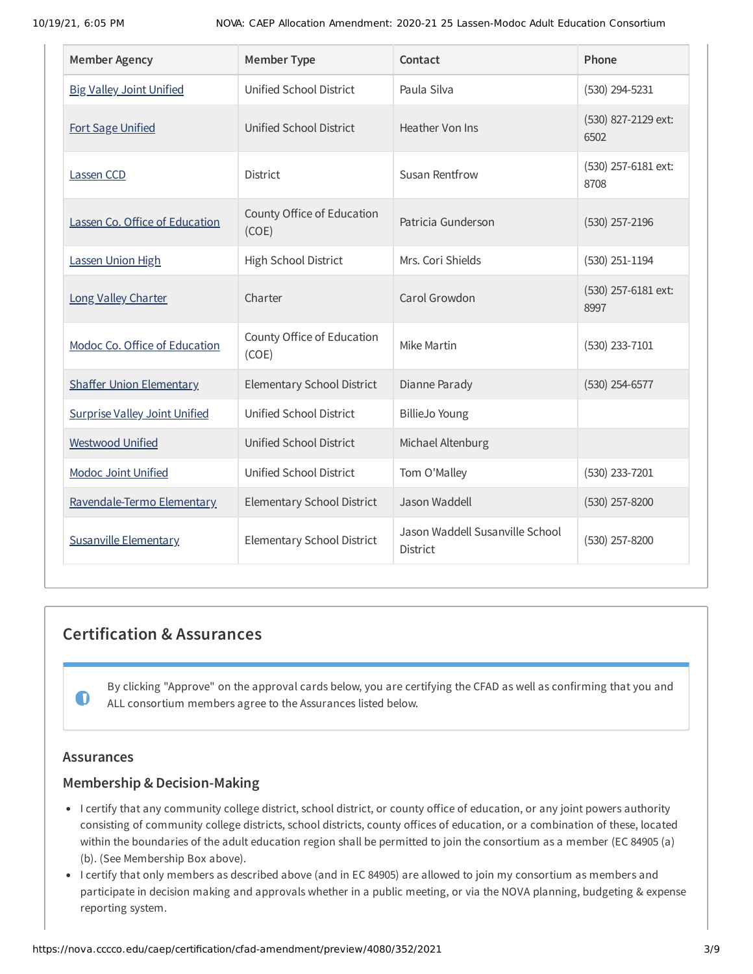| <b>Member Agency</b>                 | <b>Member Type</b>                  | Contact                                            | Phone                       |
|--------------------------------------|-------------------------------------|----------------------------------------------------|-----------------------------|
| <b>Big Valley Joint Unified</b>      | Unified School District             | Paula Silva                                        | (530) 294-5231              |
| <b>Fort Sage Unified</b>             | Unified School District             | Heather Von Ins                                    | (530) 827-2129 ext:<br>6502 |
| Lassen CCD                           | District                            | <b>Susan Rentfrow</b>                              | (530) 257-6181 ext:<br>8708 |
| Lassen Co. Office of Education       | County Office of Education<br>(COE) | Patricia Gunderson                                 | $(530)$ 257-2196            |
| Lassen Union High                    | High School District                | Mrs. Cori Shields                                  | $(530)$ 251-1194            |
| Long Valley Charter                  | Charter                             | Carol Growdon                                      | (530) 257-6181 ext:<br>8997 |
| Modoc Co. Office of Education        | County Office of Education<br>(COE) | Mike Martin                                        | (530) 233-7101              |
| <b>Shaffer Union Elementary</b>      | Elementary School District          | Dianne Parady                                      | $(530)$ 254-6577            |
| <b>Surprise Valley Joint Unified</b> | Unified School District             | <b>BillieJo Young</b>                              |                             |
| <b>Westwood Unified</b>              | Unified School District             | Michael Altenburg                                  |                             |
| <b>Modoc Joint Unified</b>           | Unified School District             | Tom O'Malley                                       | (530) 233-7201              |
| Ravendale-Termo Elementary           | Elementary School District          | Jason Waddell                                      | (530) 257-8200              |
| <b>Susanville Elementary</b>         | Elementary School District          | Jason Waddell Susanville School<br><b>District</b> | (530) 257-8200              |

# **Certification & Assurances**

By clicking "Approve" on the approval cards below, you are certifying the CFAD as well as confirming that you and ALL consortium members agree to the Assurances listed below.

# **Assurances**

 $\mathbf 0$ 

# **Membership & Decision-Making**

- I certify that any community college district, school district, or county office of education, or any joint powers authority consisting of community college districts, school districts, county offices of education, or a combination of these, located within the boundaries of the adult education region shall be permitted to join the consortium as a member (EC 84905 (a) (b). (See Membership Box above).
- I certify that only members as described above (and in EC 84905) are allowed to join my consortium as members and participate in decision making and approvals whether in a public meeting, or via the NOVA planning, budgeting & expense reporting system.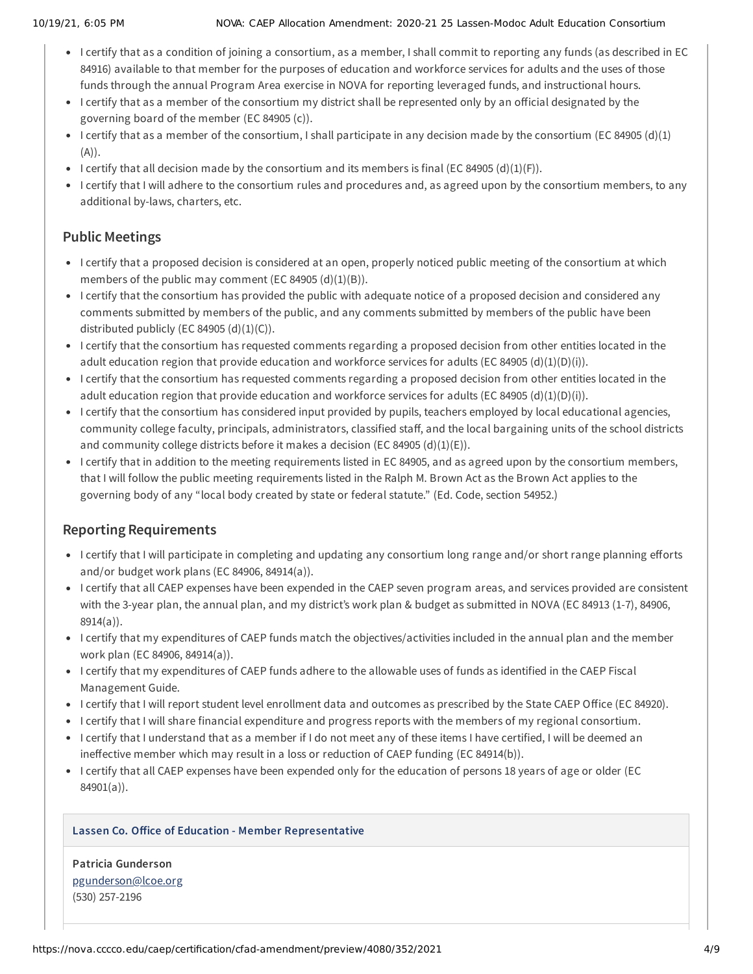- I certify that as a condition of joining a consortium, as a member, I shall commit to reporting any funds (as described in EC 84916) available to that member for the purposes of education and workforce services for adults and the uses of those funds through the annual Program Area exercise in NOVA for reporting leveraged funds, and instructional hours.
- I certify that as a member of the consortium my district shall be represented only by an official designated by the governing board of the member (EC 84905 (c)).
- I certify that as a member of the consortium, I shall participate in any decision made by the consortium (EC 84905 (d)(1)  $(A)$ ).
- I certify that all decision made by the consortium and its members is final (EC 84905 (d)(1)(F)).
- I certify that I will adhere to the consortium rules and procedures and, as agreed upon by the consortium members, to any additional by-laws, charters, etc.

# **Public Meetings**

- I certify that a proposed decision is considered at an open, properly noticed public meeting of the consortium at which members of the public may comment (EC 84905  $(d)(1)(B)$ ).
- I certify that the consortium has provided the public with adequate notice of a proposed decision and considered any comments submitted by members of the public, and any comments submitted by members of the public have been distributed publicly (EC 84905  $(d)(1)(C)$ ).
- I certify that the consortium has requested comments regarding a proposed decision from other entities located in the adult education region that provide education and workforce services for adults (EC 84905 (d)(1)(D)(i)).
- I certify that the consortium has requested comments regarding a proposed decision from other entities located in the adult education region that provide education and workforce services for adults (EC 84905 (d)(1)(D)(i)).
- I certify that the consortium has considered input provided by pupils, teachers employed by local educational agencies, community college faculty, principals, administrators, classified staff, and the local bargaining units of the school districts and community college districts before it makes a decision (EC 84905 (d)(1)(E)).
- I certify that in addition to the meeting requirements listed in EC 84905, and as agreed upon by the consortium members, that I will follow the public meeting requirements listed in the Ralph M. Brown Act as the Brown Act applies to the governing body of any "local body created by state or federal statute." (Ed. Code, section 54952.)

# **Reporting Requirements**

- I certify that I will participate in completing and updating any consortium long range and/or short range planning efforts and/or budget work plans (EC 84906, 84914(a)).
- I certify that all CAEP expenses have been expended in the CAEP seven program areas, and services provided are consistent with the 3-year plan, the annual plan, and my district's work plan & budget as submitted in NOVA (EC 84913 (1-7), 84906, 8914(a)).
- I certify that my expenditures of CAEP funds match the objectives/activities included in the annual plan and the member work plan (EC 84906, 84914(a)).
- I certify that my expenditures of CAEP funds adhere to the allowable uses of funds as identified in the CAEP Fiscal Management Guide.
- I certify that I will report student level enrollment data and outcomes as prescribed by the State CAEP Office (EC 84920).
- I certify that I will share financial expenditure and progress reports with the members of my regional consortium.
- I certify that I understand that as a member if I do not meet any of these items I have certified, I will be deemed an ineffective member which may result in a loss or reduction of CAEP funding (EC 84914(b)).
- I certify that all CAEP expenses have been expended only for the education of persons 18 years of age or older (EC 84901(a)).

## **Lassen Co. Office of Education - Member Representative**

**Patricia Gunderson** [pgunderson@lcoe.org](mailto:pgunderson@lcoe.org) (530) 257-2196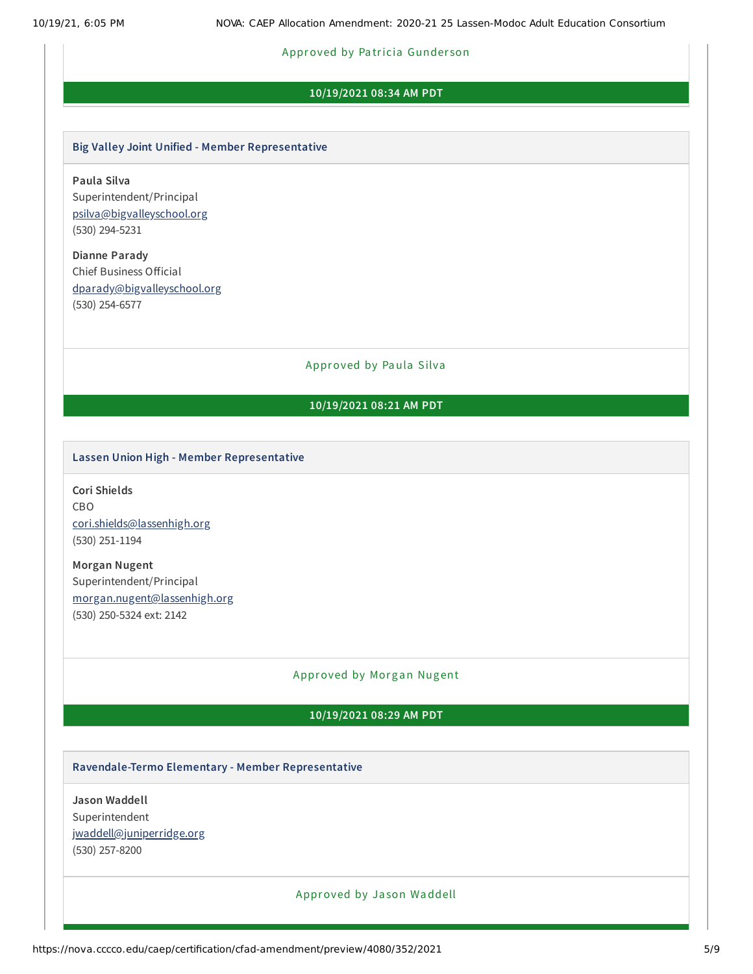# Approved by Patricia Gunderson

### **10/19/2021 08:34 AM PDT**

#### **Big Valley Joint Unified - Member Representative**

**Paula Silva** Superintendent/Principal [psilva@bigvalleyschool.org](mailto:psilva@bigvalleyschool.org) (530) 294-5231

**Dianne Parady** Chief Business Official [dparady@bigvalleyschool.org](mailto:dparady@bigvalleyschool.org) (530) 254-6577

Approved by Paula Silva

# **10/19/2021 08:21 AM PDT**

#### **Lassen Union High - Member Representative**

**Cori Shields** CBO [cori.shields@lassenhigh.org](mailto:cori.shields@lassenhigh.org) (530) 251-1194

**Morgan Nugent** Superintendent/Principal [morgan.nugent@lassenhigh.org](mailto:morgan.nugent@lassenhigh.org) (530) 250-5324 ext: 2142

#### Approved by Morgan Nugent

## **10/19/2021 08:29 AM PDT**

#### **Ravendale-Termo Elementary - Member Representative**

**Jason Waddell** Superintendent [jwaddell@juniperridge.org](mailto:jwaddell@juniperridge.org) (530) 257-8200

#### Approved by Ja son Waddell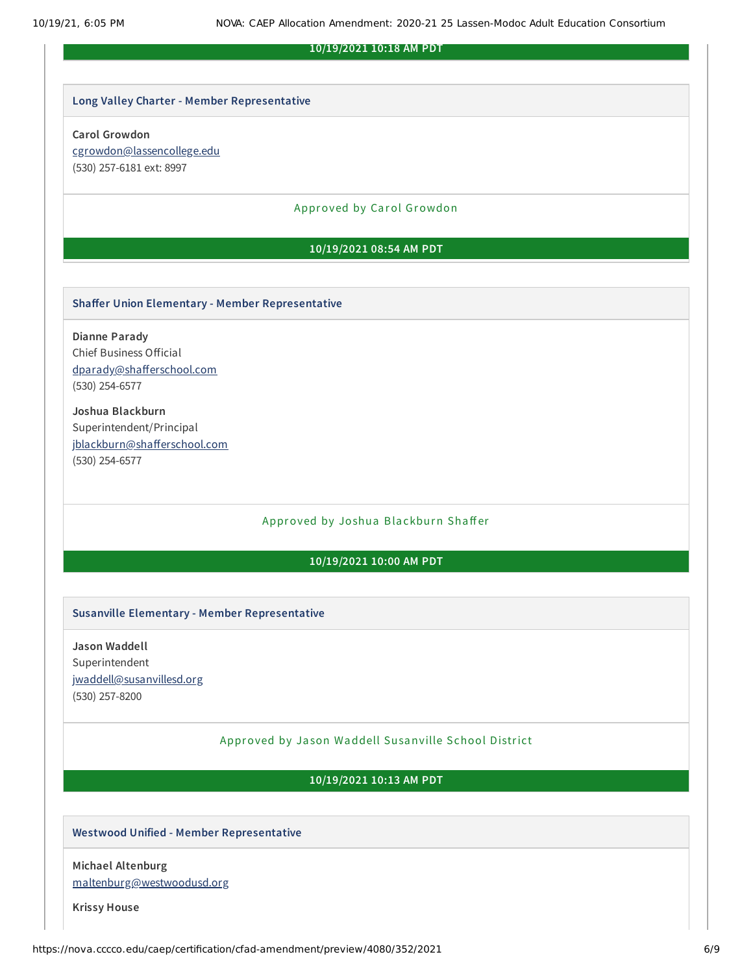#### **10/19/2021 10:18 AM PDT**

#### **Long Valley Charter - Member Representative**

#### **Carol Growdon**

[cgrowdon@lassencollege.edu](mailto:cgrowdon@lassencollege.edu) (530) 257-6181 ext: 8997

#### Approved by Carol Growdon

#### **10/19/2021 08:54 AM PDT**

#### **Shaffer Union Elementary - Member Representative**

**Dianne Parady** Chief Business Official [dparady@shafferschool.com](mailto:dparady@shafferschool.com) (530) 254-6577

**Joshua Blackburn** Superintendent/Principal [jblackburn@shafferschool.com](mailto:jblackburn@shafferschool.com) (530) 254-6577

## Approved by Joshua Blackburn Shaffer

#### **10/19/2021 10:00 AM PDT**

#### **Susanville Elementary - Member Representative**

**Jason Waddell** Superintendent [jwaddell@susanvillesd.org](mailto:jwaddell@susanvillesd.org) (530) 257-8200

#### Approved by Ja son Waddell Susanville School District

#### **10/19/2021 10:13 AM PDT**

#### **Westwood Unified - Member Representative**

**Michael Altenburg** [maltenburg@westwoodusd.org](mailto:maltenburg@westwoodusd.org)

**Krissy House**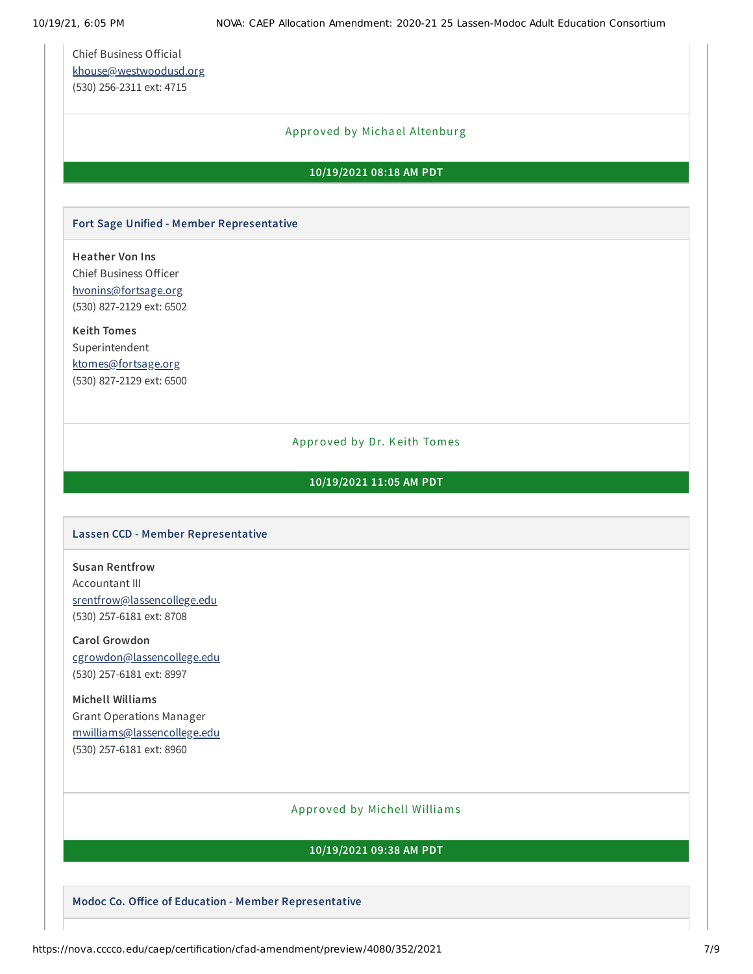Chief Business Official [khouse@westwoodusd.org](mailto:khouse@westwoodusd.org) (530) 256-2311 ext: 4715

## Approved by Michael Altenburg

#### **10/19/2021 08:18 AM PDT**

## **Fort Sage Unified - Member Representative**

**Heather Von Ins** Chief Business Officer [hvonins@fortsage.org](mailto:hvonins@fortsage.org) (530) 827-2129 ext: 6502

**Keith Tomes** Superintendent [ktomes@fortsage.org](mailto:ktomes@fortsage.org) (530) 827-2129 ext: 6500

#### Approved by Dr. Keith Tomes

#### **10/19/2021 11:05 AM PDT**

#### **Lassen CCD - Member Representative**

**Susan Rentfrow** Accountant III [srentfrow@lassencollege.edu](mailto:srentfrow@lassencollege.edu) (530) 257-6181 ext: 8708

**Carol Growdon** [cgrowdon@lassencollege.edu](mailto:cgrowdon@lassencollege.edu) (530) 257-6181 ext: 8997

**Michell Williams** Grant Operations Manager [mwilliams@lassencollege.edu](mailto:mwilliams@lassencollege.edu) (530) 257-6181 ext: 8960

## Approved by Michell Williams

### **10/19/2021 09:38 AM PDT**

**Modoc Co. Office of Education - Member Representative**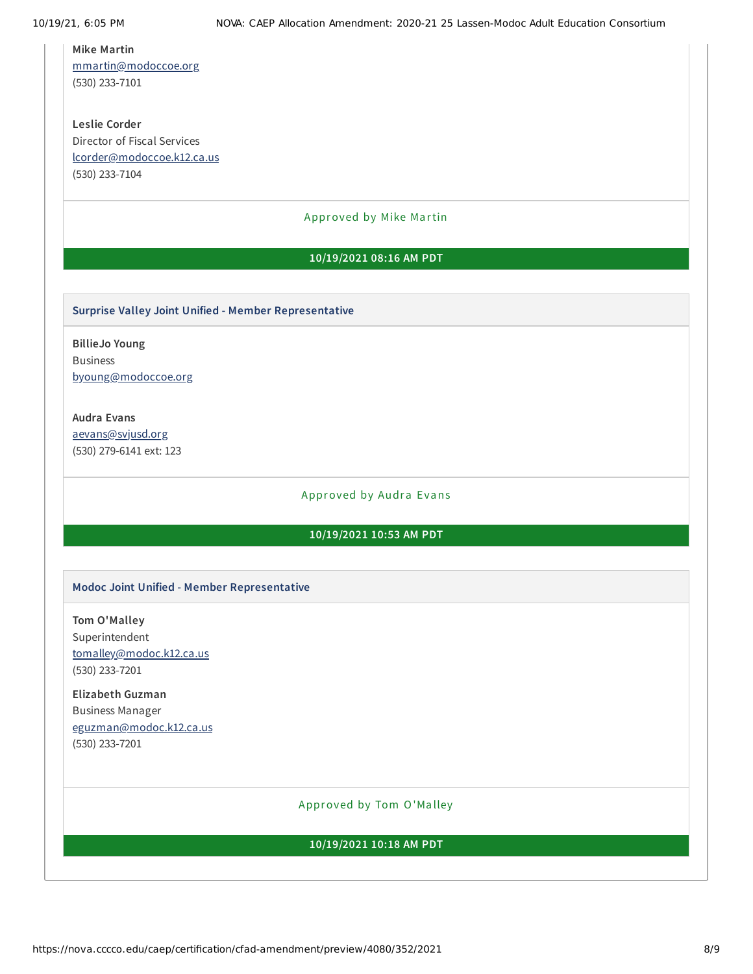#### **Mike Martin**

[mmartin@modoccoe.org](mailto:mmartin@modoccoe.org) (530) 233-7101

**Leslie Corder** Director of Fiscal Services [lcorder@modoccoe.k12.ca.us](mailto:lcorder@modoccoe.k12.ca.us) (530) 233-7104

## Approved by Mike Martin

#### **10/19/2021 08:16 AM PDT**

#### **Surprise Valley Joint Unified - Member Representative**

**BillieJo Young** Business [byoung@modoccoe.org](mailto:byoung@modoccoe.org)

# **Audra Evans**

[aevans@svjusd.org](mailto:aevans@svjusd.org) (530) 279-6141 ext: 123

#### Approved by Audra Evans

# **10/19/2021 10:53 AM PDT**

#### **Modoc Joint Unified - Member Representative**

**Tom O'Malley** Superintendent [tomalley@modoc.k12.ca.us](mailto:tomalley@modoc.k12.ca.us) (530) 233-7201

# **Elizabeth Guzman** Business Manager [eguzman@modoc.k12.ca.us](mailto:eguzman@modoc.k12.ca.us) (530) 233-7201

#### Approved by Tom O'Ma lley

#### **10/19/2021 10:18 AM PDT**

https://nova.cccco.edu/caep/certification/cfad-amendment/preview/4080/352/2021 8/9